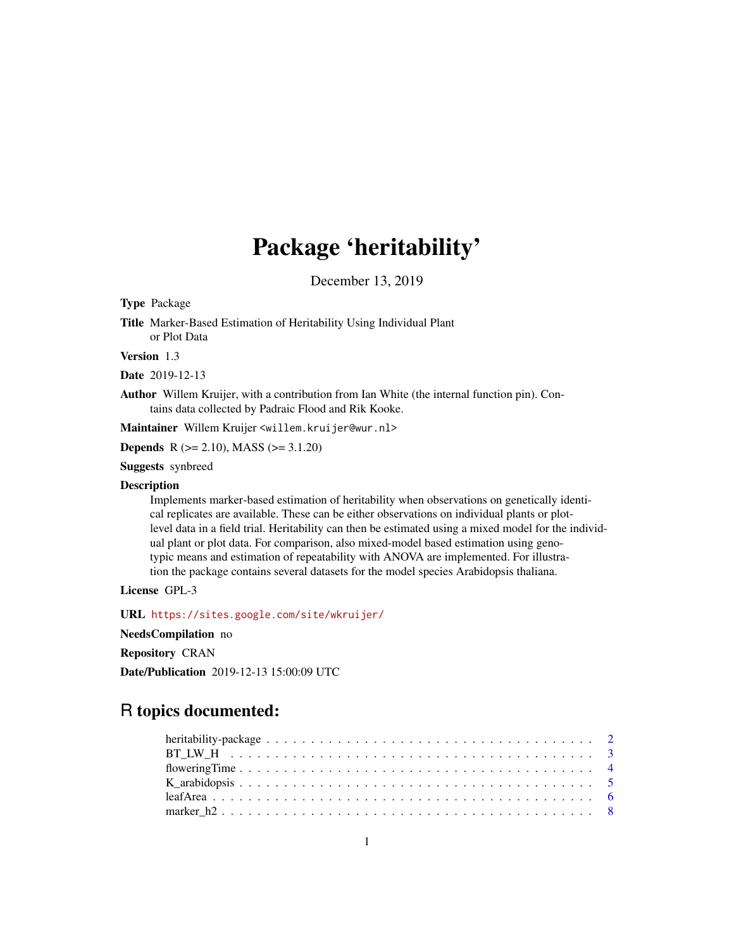## Package 'heritability'

December 13, 2019

Type Package

Title Marker-Based Estimation of Heritability Using Individual Plant or Plot Data

Version 1.3

Date 2019-12-13

Author Willem Kruijer, with a contribution from Ian White (the internal function pin). Contains data collected by Padraic Flood and Rik Kooke.

Maintainer Willem Kruijer <willem.kruijer@wur.nl>

Depends R (>= 2.10), MASS (>= 3.1.20)

Suggests synbreed

#### Description

Implements marker-based estimation of heritability when observations on genetically identical replicates are available. These can be either observations on individual plants or plotlevel data in a field trial. Heritability can then be estimated using a mixed model for the individual plant or plot data. For comparison, also mixed-model based estimation using genotypic means and estimation of repeatability with ANOVA are implemented. For illustration the package contains several datasets for the model species Arabidopsis thaliana.

License GPL-3

URL <https://sites.google.com/site/wkruijer/>

NeedsCompilation no

Repository CRAN

Date/Publication 2019-12-13 15:00:09 UTC

### R topics documented: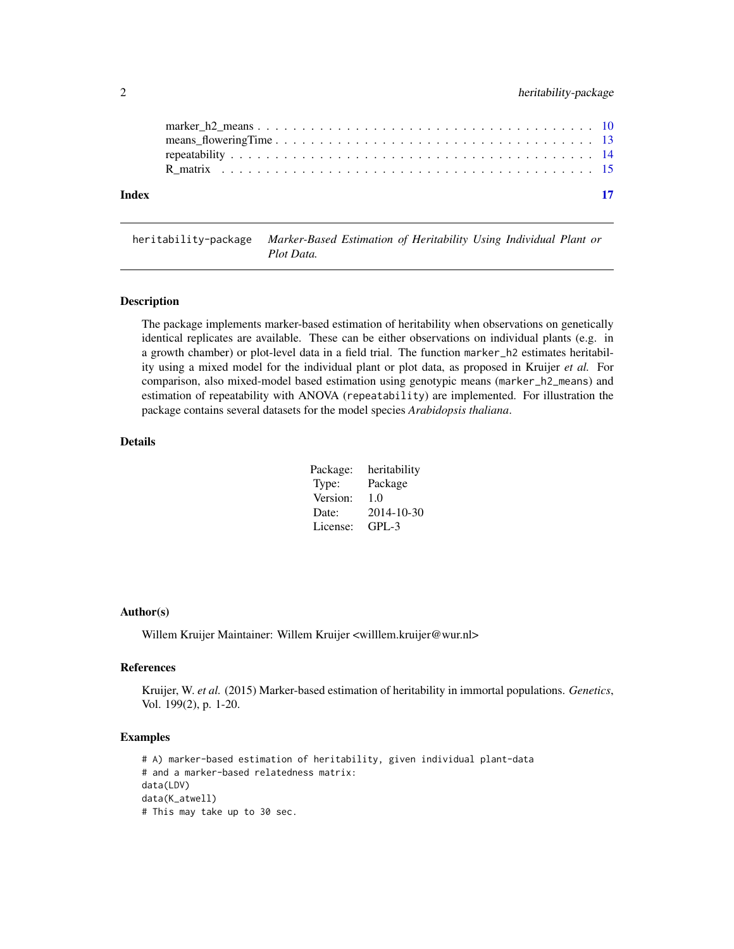<span id="page-1-0"></span>

| Index | $\blacksquare$ 17 |
|-------|-------------------|
|       |                   |
|       |                   |
|       |                   |
|       |                   |

heritability-package *Marker-Based Estimation of Heritability Using Individual Plant or Plot Data.*

#### Description

The package implements marker-based estimation of heritability when observations on genetically identical replicates are available. These can be either observations on individual plants (e.g. in a growth chamber) or plot-level data in a field trial. The function marker\_h2 estimates heritability using a mixed model for the individual plant or plot data, as proposed in Kruijer *et al.* For comparison, also mixed-model based estimation using genotypic means (marker\_h2\_means) and estimation of repeatability with ANOVA (repeatability) are implemented. For illustration the package contains several datasets for the model species *Arabidopsis thaliana*.

#### Details

| Package: | heritability |
|----------|--------------|
| Type:    | Package      |
| Version: | 1.0          |
| Date:    | 2014-10-30   |
| License: | $GPL-3$      |

#### Author(s)

Willem Kruijer Maintainer: Willem Kruijer <willlem.kruijer@wur.nl>

#### References

Kruijer, W. *et al.* (2015) Marker-based estimation of heritability in immortal populations. *Genetics*, Vol. 199(2), p. 1-20.

```
# A) marker-based estimation of heritability, given individual plant-data
# and a marker-based relatedness matrix:
data(LDV)
data(K_atwell)
# This may take up to 30 sec.
```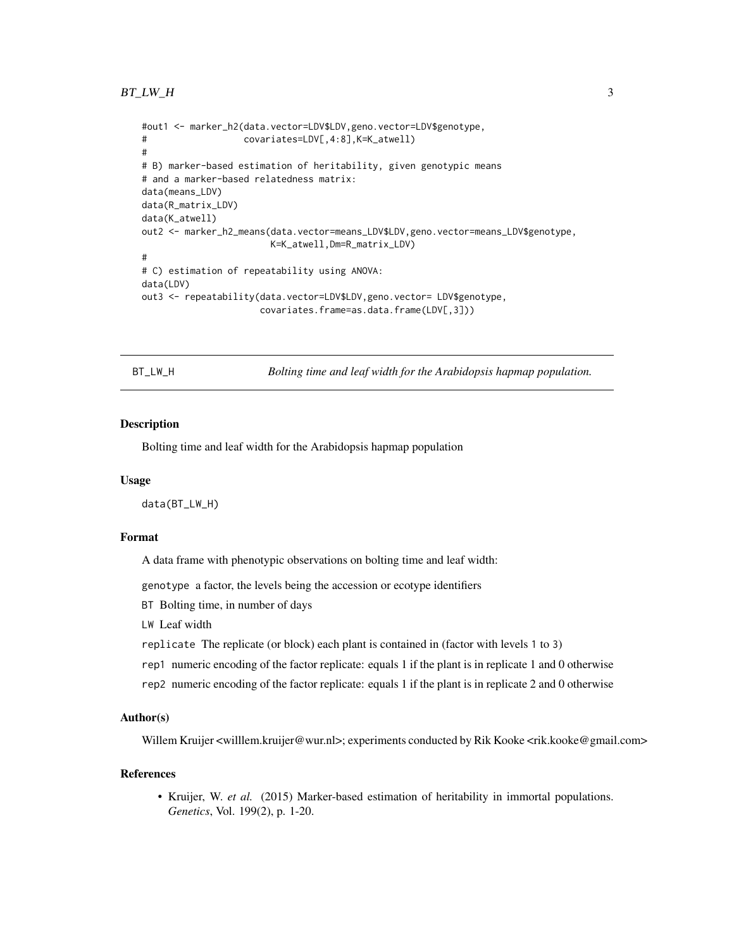#### <span id="page-2-0"></span> $BT_LW_H$  3

```
#out1 <- marker_h2(data.vector=LDV$LDV,geno.vector=LDV$genotype,
# covariates=LDV[,4:8],K=K_atwell)
#
# B) marker-based estimation of heritability, given genotypic means
# and a marker-based relatedness matrix:
data(means_LDV)
data(R_matrix_LDV)
data(K_atwell)
out2 <- marker_h2_means(data.vector=means_LDV$LDV,geno.vector=means_LDV$genotype,
                       K=K_atwell,Dm=R_matrix_LDV)
#
# C) estimation of repeatability using ANOVA:
data(LDV)
out3 <- repeatability(data.vector=LDV$LDV,geno.vector= LDV$genotype,
                     covariates.frame=as.data.frame(LDV[,3]))
```
<span id="page-2-1"></span>BT\_LW\_H *Bolting time and leaf width for the Arabidopsis hapmap population.*

#### **Description**

Bolting time and leaf width for the Arabidopsis hapmap population

#### Usage

data(BT\_LW\_H)

#### Format

A data frame with phenotypic observations on bolting time and leaf width:

genotype a factor, the levels being the accession or ecotype identifiers

BT Bolting time, in number of days

LW Leaf width

replicate The replicate (or block) each plant is contained in (factor with levels 1 to 3)

rep1 numeric encoding of the factor replicate: equals 1 if the plant is in replicate 1 and 0 otherwise

rep2 numeric encoding of the factor replicate: equals 1 if the plant is in replicate 2 and 0 otherwise

#### Author(s)

Willem Kruijer <willlem.kruijer@wur.nl>; experiments conducted by Rik Kooke <rik.kooke@gmail.com>

#### References

• Kruijer, W. *et al.* (2015) Marker-based estimation of heritability in immortal populations. *Genetics*, Vol. 199(2), p. 1-20.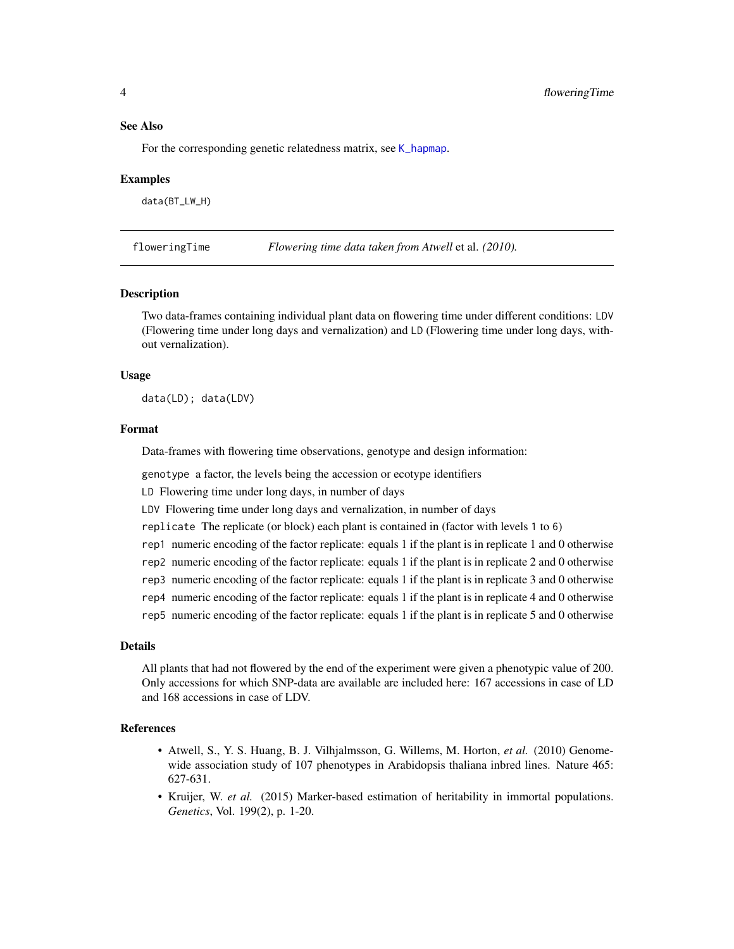<span id="page-3-0"></span>For the corresponding genetic relatedness matrix, see [K\\_hapmap](#page-4-1).

#### Examples

data(BT\_LW\_H)

<span id="page-3-2"></span>floweringTime *Flowering time data taken from Atwell* et al. *(2010).*

#### <span id="page-3-1"></span>**Description**

Two data-frames containing individual plant data on flowering time under different conditions: LDV (Flowering time under long days and vernalization) and LD (Flowering time under long days, without vernalization).

#### Usage

data(LD); data(LDV)

#### Format

Data-frames with flowering time observations, genotype and design information:

genotype a factor, the levels being the accession or ecotype identifiers

LD Flowering time under long days, in number of days

LDV Flowering time under long days and vernalization, in number of days

replicate The replicate (or block) each plant is contained in (factor with levels 1 to 6)

rep1 numeric encoding of the factor replicate: equals 1 if the plant is in replicate 1 and 0 otherwise

rep2 numeric encoding of the factor replicate: equals 1 if the plant is in replicate 2 and 0 otherwise

- rep3 numeric encoding of the factor replicate: equals 1 if the plant is in replicate 3 and 0 otherwise
- rep4 numeric encoding of the factor replicate: equals 1 if the plant is in replicate 4 and 0 otherwise
- rep5 numeric encoding of the factor replicate: equals 1 if the plant is in replicate 5 and 0 otherwise

#### Details

All plants that had not flowered by the end of the experiment were given a phenotypic value of 200. Only accessions for which SNP-data are available are included here: 167 accessions in case of LD and 168 accessions in case of LDV.

- Atwell, S., Y. S. Huang, B. J. Vilhjalmsson, G. Willems, M. Horton, *et al.* (2010) Genomewide association study of 107 phenotypes in Arabidopsis thaliana inbred lines. Nature 465: 627-631.
- Kruijer, W. *et al.* (2015) Marker-based estimation of heritability in immortal populations. *Genetics*, Vol. 199(2), p. 1-20.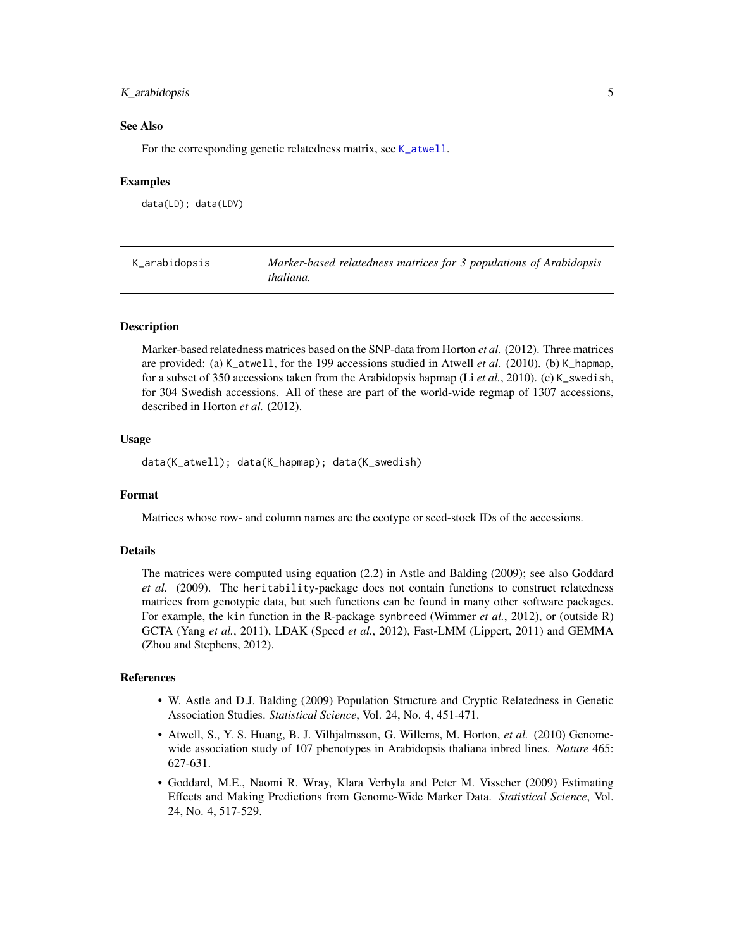#### <span id="page-4-0"></span>K\_arabidopsis 5

#### See Also

For the corresponding genetic relatedness matrix, see [K\\_atwell](#page-4-1).

#### Examples

```
data(LD); data(LDV)
```

| K_arabidopsis | Marker-based relatedness matrices for 3 populations of Arabidopsis |
|---------------|--------------------------------------------------------------------|
|               | thaliana.                                                          |

#### <span id="page-4-1"></span>Description

Marker-based relatedness matrices based on the SNP-data from Horton *et al.* (2012). Three matrices are provided: (a) K\_atwell, for the 199 accessions studied in Atwell *et al.* (2010). (b) K\_hapmap, for a subset of 350 accessions taken from the Arabidopsis hapmap (Li *et al.*, 2010). (c) K\_swedish, for 304 Swedish accessions. All of these are part of the world-wide regmap of 1307 accessions, described in Horton *et al.* (2012).

#### Usage

data(K\_atwell); data(K\_hapmap); data(K\_swedish)

#### Format

Matrices whose row- and column names are the ecotype or seed-stock IDs of the accessions.

#### Details

The matrices were computed using equation (2.2) in Astle and Balding (2009); see also Goddard *et al.* (2009). The heritability-package does not contain functions to construct relatedness matrices from genotypic data, but such functions can be found in many other software packages. For example, the kin function in the R-package synbreed (Wimmer *et al.*, 2012), or (outside R) GCTA (Yang *et al.*, 2011), LDAK (Speed *et al.*, 2012), Fast-LMM (Lippert, 2011) and GEMMA (Zhou and Stephens, 2012).

- W. Astle and D.J. Balding (2009) Population Structure and Cryptic Relatedness in Genetic Association Studies. *Statistical Science*, Vol. 24, No. 4, 451-471.
- Atwell, S., Y. S. Huang, B. J. Vilhjalmsson, G. Willems, M. Horton, *et al.* (2010) Genomewide association study of 107 phenotypes in Arabidopsis thaliana inbred lines. *Nature* 465: 627-631.
- Goddard, M.E., Naomi R. Wray, Klara Verbyla and Peter M. Visscher (2009) Estimating Effects and Making Predictions from Genome-Wide Marker Data. *Statistical Science*, Vol. 24, No. 4, 517-529.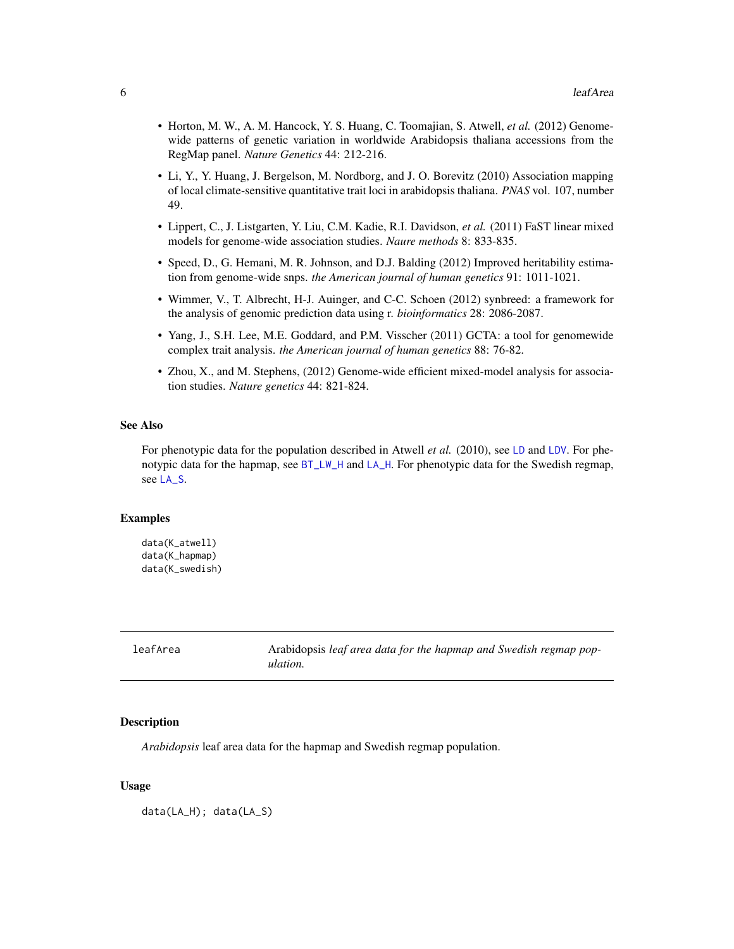- <span id="page-5-0"></span>• Horton, M. W., A. M. Hancock, Y. S. Huang, C. Toomajian, S. Atwell, *et al.* (2012) Genomewide patterns of genetic variation in worldwide Arabidopsis thaliana accessions from the RegMap panel. *Nature Genetics* 44: 212-216.
- Li, Y., Y. Huang, J. Bergelson, M. Nordborg, and J. O. Borevitz (2010) Association mapping of local climate-sensitive quantitative trait loci in arabidopsis thaliana. *PNAS* vol. 107, number 49.
- Lippert, C., J. Listgarten, Y. Liu, C.M. Kadie, R.I. Davidson, *et al.* (2011) FaST linear mixed models for genome-wide association studies. *Naure methods* 8: 833-835.
- Speed, D., G. Hemani, M. R. Johnson, and D.J. Balding (2012) Improved heritability estimation from genome-wide snps. *the American journal of human genetics* 91: 1011-1021.
- Wimmer, V., T. Albrecht, H-J. Auinger, and C-C. Schoen (2012) synbreed: a framework for the analysis of genomic prediction data using r. *bioinformatics* 28: 2086-2087.
- Yang, J., S.H. Lee, M.E. Goddard, and P.M. Visscher (2011) GCTA: a tool for genomewide complex trait analysis. *the American journal of human genetics* 88: 76-82.
- Zhou, X., and M. Stephens, (2012) Genome-wide efficient mixed-model analysis for association studies. *Nature genetics* 44: 821-824.

For phenotypic data for the population described in Atwell *et al.* (2010), see [LD](#page-3-1) and [LDV](#page-3-1). For phenotypic data for the hapmap, see  $BT_LW_H$  and  $LA_H$ . For phenotypic data for the Swedish regmap, see [LA\\_S](#page-5-1).

#### Examples

```
data(K_atwell)
data(K_hapmap)
data(K_swedish)
```

| leafArea | Arabidopsis leaf area data for the hapmap and Swedish regmap pop- |
|----------|-------------------------------------------------------------------|
|          | ulation.                                                          |

#### <span id="page-5-1"></span>Description

*Arabidopsis* leaf area data for the hapmap and Swedish regmap population.

#### Usage

data(LA\_H); data(LA\_S)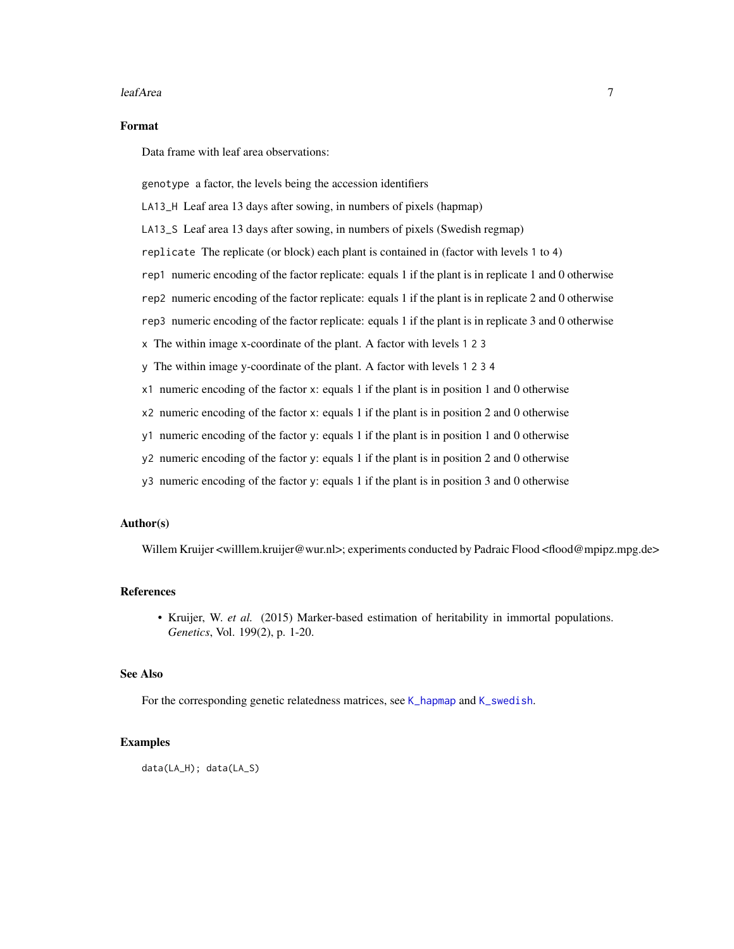#### <span id="page-6-0"></span>leafArea 7

#### Format

Data frame with leaf area observations:

genotype a factor, the levels being the accession identifiers

LA13\_H Leaf area 13 days after sowing, in numbers of pixels (hapmap)

LA13\_S Leaf area 13 days after sowing, in numbers of pixels (Swedish regmap)

replicate The replicate (or block) each plant is contained in (factor with levels 1 to 4)

rep1 numeric encoding of the factor replicate: equals 1 if the plant is in replicate 1 and 0 otherwise

rep2 numeric encoding of the factor replicate: equals 1 if the plant is in replicate 2 and 0 otherwise

rep3 numeric encoding of the factor replicate: equals 1 if the plant is in replicate 3 and 0 otherwise

x The within image x-coordinate of the plant. A factor with levels 1 2 3

y The within image y-coordinate of the plant. A factor with levels 1 2 3 4

- x1 numeric encoding of the factor x: equals 1 if the plant is in position 1 and 0 otherwise
- x2 numeric encoding of the factor x: equals 1 if the plant is in position 2 and 0 otherwise

y1 numeric encoding of the factor y: equals 1 if the plant is in position 1 and 0 otherwise

- y2 numeric encoding of the factor y: equals 1 if the plant is in position 2 and 0 otherwise
- y3 numeric encoding of the factor y: equals 1 if the plant is in position 3 and 0 otherwise

#### Author(s)

Willem Kruijer <willlem.kruijer@wur.nl>; experiments conducted by Padraic Flood <flood@mpipz.mpg.de>

#### References

• Kruijer, W. *et al.* (2015) Marker-based estimation of heritability in immortal populations. *Genetics*, Vol. 199(2), p. 1-20.

#### See Also

For the corresponding genetic relatedness matrices, see [K\\_hapmap](#page-4-1) and [K\\_swedish](#page-4-1).

#### Examples

data(LA\_H); data(LA\_S)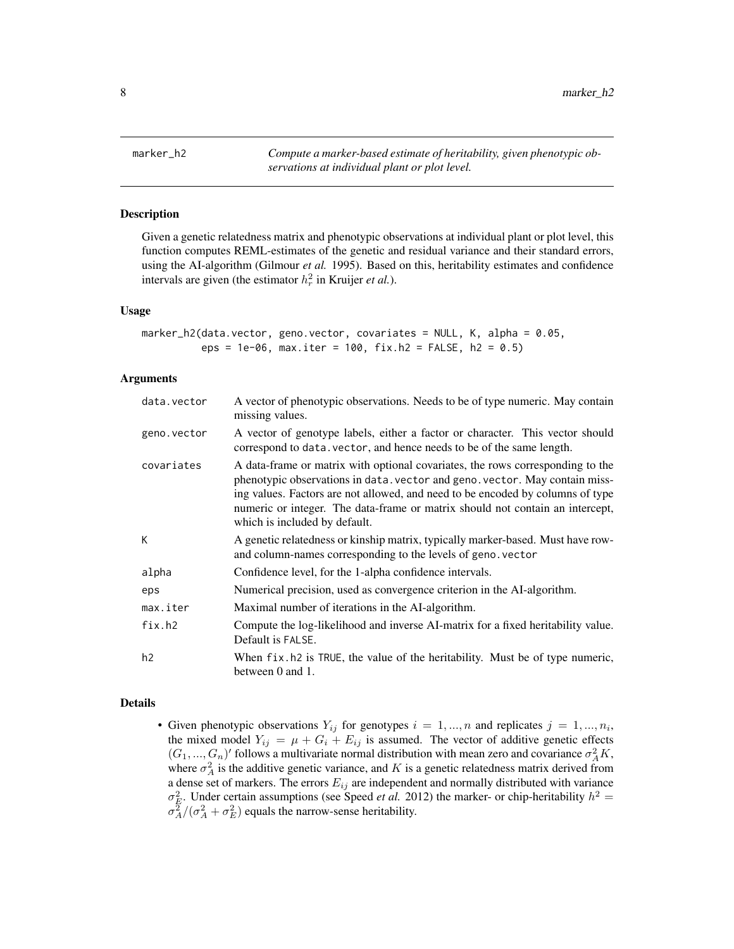<span id="page-7-1"></span><span id="page-7-0"></span>marker\_h2 *Compute a marker-based estimate of heritability, given phenotypic observations at individual plant or plot level.*

#### Description

Given a genetic relatedness matrix and phenotypic observations at individual plant or plot level, this function computes REML-estimates of the genetic and residual variance and their standard errors, using the AI-algorithm (Gilmour *et al.* 1995). Based on this, heritability estimates and confidence intervals are given (the estimator  $h_r^2$  in Kruijer *et al.*).

#### Usage

```
marker_h2(data.vector, geno.vector, covariates = NULL, K, alpha = 0.05,
          eps = 1e-06, max.iter = 100, fix.h2 = FALSE, h2 = 0.5)
```
#### Arguments

| data.vector | A vector of phenotypic observations. Needs to be of type numeric. May contain<br>missing values.                                                                                                                                                                                                                                                                  |  |
|-------------|-------------------------------------------------------------------------------------------------------------------------------------------------------------------------------------------------------------------------------------------------------------------------------------------------------------------------------------------------------------------|--|
| geno.vector | A vector of genotype labels, either a factor or character. This vector should<br>correspond to data. vector, and hence needs to be of the same length.                                                                                                                                                                                                            |  |
| covariates  | A data-frame or matrix with optional covariates, the rows corresponding to the<br>phenotypic observations in data, vector and geno, vector. May contain miss-<br>ing values. Factors are not allowed, and need to be encoded by columns of type<br>numeric or integer. The data-frame or matrix should not contain an intercept,<br>which is included by default. |  |
| K.          | A genetic relatedness or kinship matrix, typically marker-based. Must have row-<br>and column-names corresponding to the levels of geno. vector                                                                                                                                                                                                                   |  |
| alpha       | Confidence level, for the 1-alpha confidence intervals.                                                                                                                                                                                                                                                                                                           |  |
| eps         | Numerical precision, used as convergence criterion in the AI-algorithm.                                                                                                                                                                                                                                                                                           |  |
| max.iter    | Maximal number of iterations in the AI-algorithm.                                                                                                                                                                                                                                                                                                                 |  |
| fix.h2      | Compute the log-likelihood and inverse AI-matrix for a fixed heritability value.<br>Default is FALSE.                                                                                                                                                                                                                                                             |  |
| h2          | When fix. h2 is TRUE, the value of the heritability. Must be of type numeric,<br>between $0$ and $1$ .                                                                                                                                                                                                                                                            |  |

#### Details

• Given phenotypic observations  $Y_{ij}$  for genotypes  $i = 1, ..., n$  and replicates  $j = 1, ..., n_i$ , the mixed model  $Y_{ij} = \mu + G_i + E_{ij}$  is assumed. The vector of additive genetic effects  $(G_1, ..., G_n)'$  follows a multivariate normal distribution with mean zero and covariance  $\sigma_A^2 K$ , where  $\sigma_A^2$  is the additive genetic variance, and K is a genetic relatedness matrix derived from a dense set of markers. The errors  $E_{ij}$  are independent and normally distributed with variance  $\sigma_E^2$ . Under certain assumptions (see Speed *et al.* 2012) the marker- or chip-heritability  $h^2 =$  $\sigma_A^2/(\sigma_A^2 + \sigma_E^2)$  equals the narrow-sense heritability.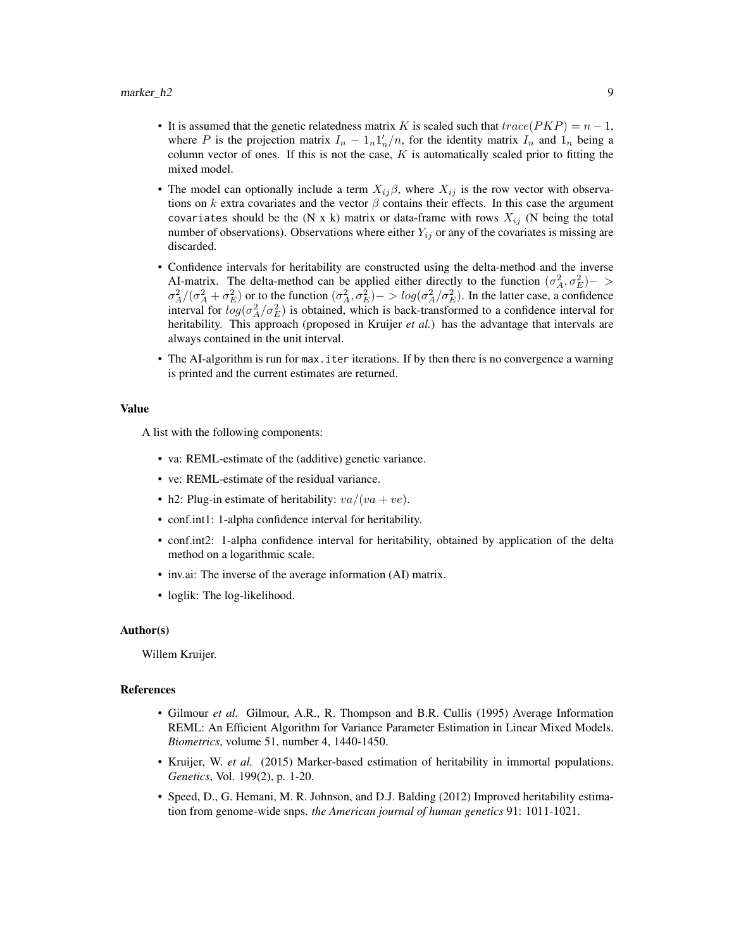- It is assumed that the genetic relatedness matrix K is scaled such that  $trace(PKP) = n 1$ , where P is the projection matrix  $I_n - 1_n 1'_n/n$ , for the identity matrix  $I_n$  and  $1_n$  being a column vector of ones. If this is not the case,  $K$  is automatically scaled prior to fitting the mixed model.
- The model can optionally include a term  $X_{ij}\beta$ , where  $X_{ij}$  is the row vector with observations on k extra covariates and the vector  $\beta$  contains their effects. In this case the argument covariates should be the (N x k) matrix or data-frame with rows  $X_{ij}$  (N being the total number of observations). Observations where either  $Y_{ij}$  or any of the covariates is missing are discarded.
- Confidence intervals for heritability are constructed using the delta-method and the inverse AI-matrix. The delta-method can be applied either directly to the function  $(\sigma_A^2, \sigma_E^2)$  >  $\sigma_A^2/(\sigma_A^2+\sigma_E^2)$  or to the function  $(\sigma_A^2,\sigma_E^2) -> log(\sigma_A^2/\sigma_E^2)$ . In the latter case, a confidence interval for  $log(\sigma_A^2/\sigma_E^2)$  is obtained, which is back-transformed to a confidence interval for heritability. This approach (proposed in Kruijer *et al.*) has the advantage that intervals are always contained in the unit interval.
- The AI-algorithm is run for max.iter iterations. If by then there is no convergence a warning is printed and the current estimates are returned.

#### Value

A list with the following components:

- va: REML-estimate of the (additive) genetic variance.
- ve: REML-estimate of the residual variance.
- h2: Plug-in estimate of heritability:  $va/(va + ve)$ .
- conf.int1: 1-alpha confidence interval for heritability.
- conf.int2: 1-alpha confidence interval for heritability, obtained by application of the delta method on a logarithmic scale.
- inv.ai: The inverse of the average information (AI) matrix.
- loglik: The log-likelihood.

#### Author(s)

Willem Kruijer.

- Gilmour *et al.* Gilmour, A.R., R. Thompson and B.R. Cullis (1995) Average Information REML: An Efficient Algorithm for Variance Parameter Estimation in Linear Mixed Models. *Biometrics*, volume 51, number 4, 1440-1450.
- Kruijer, W. *et al.* (2015) Marker-based estimation of heritability in immortal populations. *Genetics*, Vol. 199(2), p. 1-20.
- Speed, D., G. Hemani, M. R. Johnson, and D.J. Balding (2012) Improved heritability estimation from genome-wide snps. *the American journal of human genetics* 91: 1011-1021.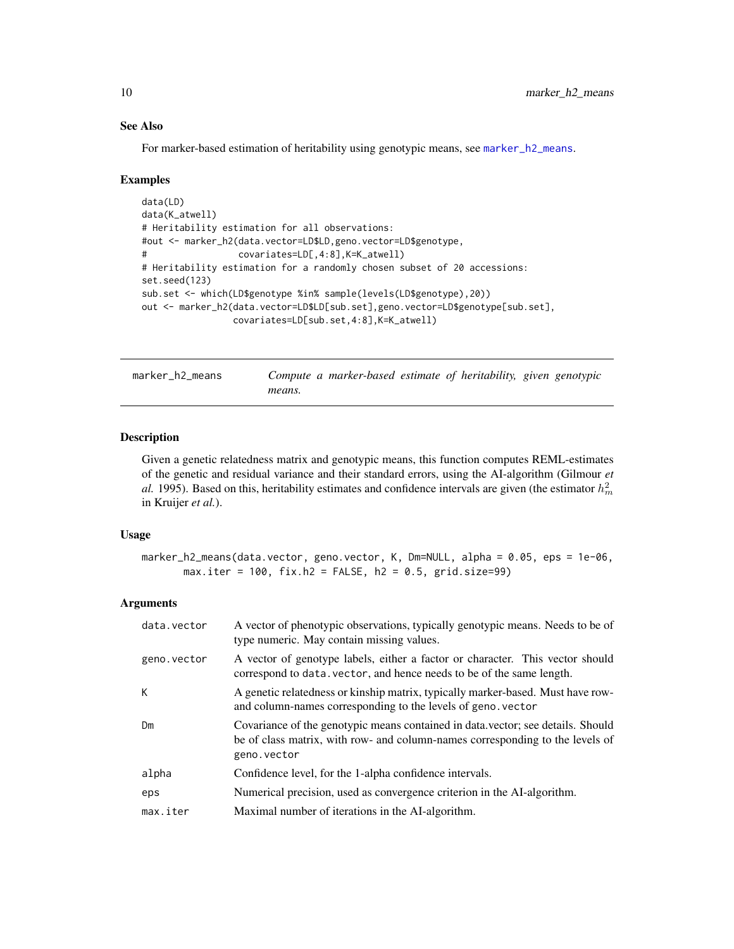For marker-based estimation of heritability using genotypic means, see [marker\\_h2\\_means](#page-9-1).

#### Examples

```
data(LD)
data(K_atwell)
# Heritability estimation for all observations:
#out <- marker_h2(data.vector=LD$LD,geno.vector=LD$genotype,
# covariates=LD[,4:8],K=K_atwell)
# Heritability estimation for a randomly chosen subset of 20 accessions:
set.seed(123)
sub.set <- which(LD$genotype %in% sample(levels(LD$genotype),20))
out <- marker_h2(data.vector=LD$LD[sub.set],geno.vector=LD$genotype[sub.set],
                covariates=LD[sub.set,4:8],K=K_atwell)
```
<span id="page-9-1"></span>marker\_h2\_means *Compute a marker-based estimate of heritability, given genotypic means.*

#### Description

Given a genetic relatedness matrix and genotypic means, this function computes REML-estimates of the genetic and residual variance and their standard errors, using the AI-algorithm (Gilmour *et al.* 1995). Based on this, heritability estimates and confidence intervals are given (the estimator  $h_m^2$ in Kruijer *et al.*).

#### Usage

```
marker_h2_means(data.vector, geno.vector, K, Dm=NULL, alpha = 0.05, eps = 1e-06,
      max.iter = 100, fix.h2 = FALSE, h2 = 0.5, grid.size=99)
```
#### Arguments

| data.vector | A vector of phenotypic observations, typically genotypic means. Needs to be of<br>type numeric. May contain missing values.                                                      |  |  |
|-------------|----------------------------------------------------------------------------------------------------------------------------------------------------------------------------------|--|--|
| geno.vector | A vector of genotype labels, either a factor or character. This vector should<br>correspond to data. vector, and hence needs to be of the same length.                           |  |  |
| К           | A genetic relatedness or kinship matrix, typically marker-based. Must have row-<br>and column-names corresponding to the levels of geno. vector                                  |  |  |
| Dm          | Covariance of the genotypic means contained in data, vector; see details. Should<br>be of class matrix, with row- and column-names corresponding to the levels of<br>geno.vector |  |  |
| alpha       | Confidence level, for the 1-alpha confidence intervals.                                                                                                                          |  |  |
| eps         | Numerical precision, used as convergence criterion in the AI-algorithm.                                                                                                          |  |  |
| max.iter    | Maximal number of iterations in the AI-algorithm.                                                                                                                                |  |  |

<span id="page-9-0"></span>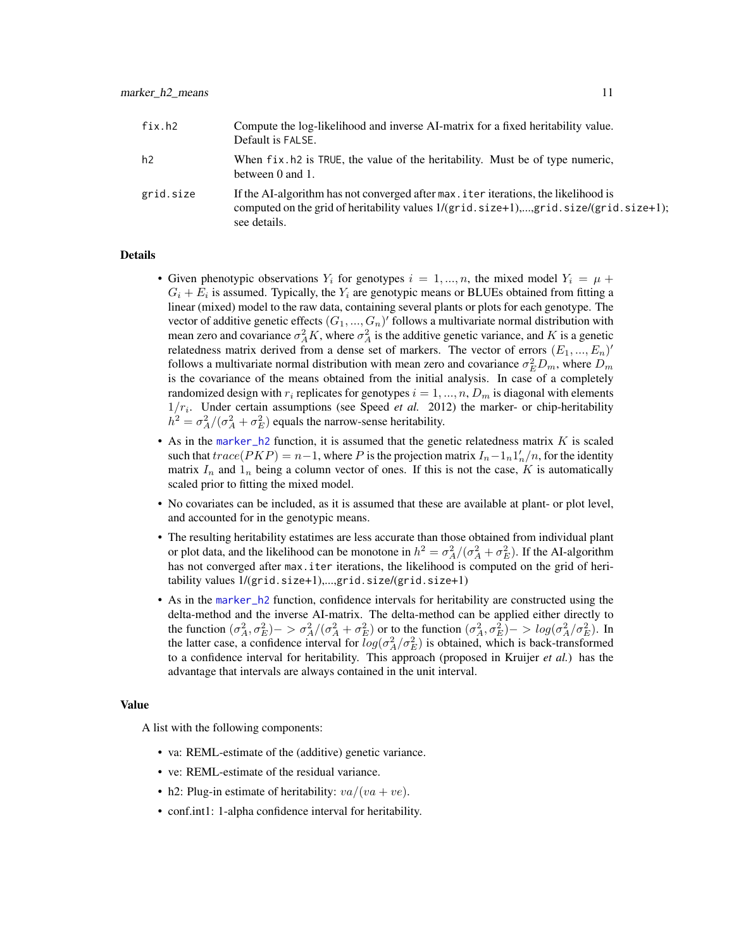<span id="page-10-0"></span>

| fix.h2    | Compute the log-likelihood and inverse AI-matrix for a fixed heritability value.<br>Default is FALSE.                                                                                                       |
|-----------|-------------------------------------------------------------------------------------------------------------------------------------------------------------------------------------------------------------|
| h2        | When fix. h2 is TRUE, the value of the heritability. Must be of type numeric,<br>between 0 and 1.                                                                                                           |
| grid.size | If the AI-algorithm has not converged after max, i ter iterations, the likelihood is<br>computed on the grid of heritability values $1/(grid.size + 1), \dots, grid.size/(grid.size + 1)$ ;<br>see details. |

#### Details

- Given phenotypic observations  $Y_i$  for genotypes  $i = 1, ..., n$ , the mixed model  $Y_i = \mu +$  $G_i + E_i$  is assumed. Typically, the  $Y_i$  are genotypic means or BLUEs obtained from fitting a linear (mixed) model to the raw data, containing several plants or plots for each genotype. The vector of additive genetic effects  $(G_1, ..., G_n)'$  follows a multivariate normal distribution with mean zero and covariance  $\sigma_A^2 K$ , where  $\sigma_A^2$  is the additive genetic variance, and K is a genetic relatedness matrix derived from a dense set of markers. The vector of errors  $(E_1, ..., E_n)'$ follows a multivariate normal distribution with mean zero and covariance  $\sigma_E^2 D_m$ , where  $D_m$ is the covariance of the means obtained from the initial analysis. In case of a completely randomized design with  $r_i$  replicates for genotypes  $i = 1, ..., n$ ,  $D_m$  is diagonal with elements  $1/r_i$ . Under certain assumptions (see Speed *et al.* 2012) the marker- or chip-heritability  $h^2 = \sigma_A^2/(\sigma_A^2 + \sigma_E^2)$  equals the narrow-sense heritability.
- As in the [marker\\_h2](#page-7-1) function, it is assumed that the genetic relatedness matrix  $K$  is scaled such that  $trace(PKP) = n-1$ , where P is the projection matrix  $I_n - 1 \cdot n \cdot 1/n$ , for the identity matrix  $I_n$  and  $I_n$  being a column vector of ones. If this is not the case, K is automatically scaled prior to fitting the mixed model.
- No covariates can be included, as it is assumed that these are available at plant- or plot level, and accounted for in the genotypic means.
- The resulting heritability estatimes are less accurate than those obtained from individual plant or plot data, and the likelihood can be monotone in  $h^2 = \sigma_A^2/(\sigma_A^2 + \sigma_E^2)$ . If the AI-algorithm has not converged after max.iter iterations, the likelihood is computed on the grid of heritability values 1/(grid.size+1),...,grid.size/(grid.size+1)
- As in the [marker\\_h2](#page-7-1) function, confidence intervals for heritability are constructed using the delta-method and the inverse AI-matrix. The delta-method can be applied either directly to the function  $(\sigma_A^2, \sigma_E^2) -> \sigma_A^2/(\sigma_A^2 + \sigma_E^2)$  or to the function  $(\sigma_A^2, \sigma_E^2) -> log(\sigma_A^2/\sigma_E^2)$ . In the latter case, a confidence interval for  $log(\sigma_A^2/\sigma_E^2)$  is obtained, which is back-transformed to a confidence interval for heritability. This approach (proposed in Kruijer *et al.*) has the advantage that intervals are always contained in the unit interval.

#### Value

A list with the following components:

- va: REML-estimate of the (additive) genetic variance.
- ve: REML-estimate of the residual variance.
- h2: Plug-in estimate of heritability:  $va/(va + ve)$ .
- conf.int1: 1-alpha confidence interval for heritability.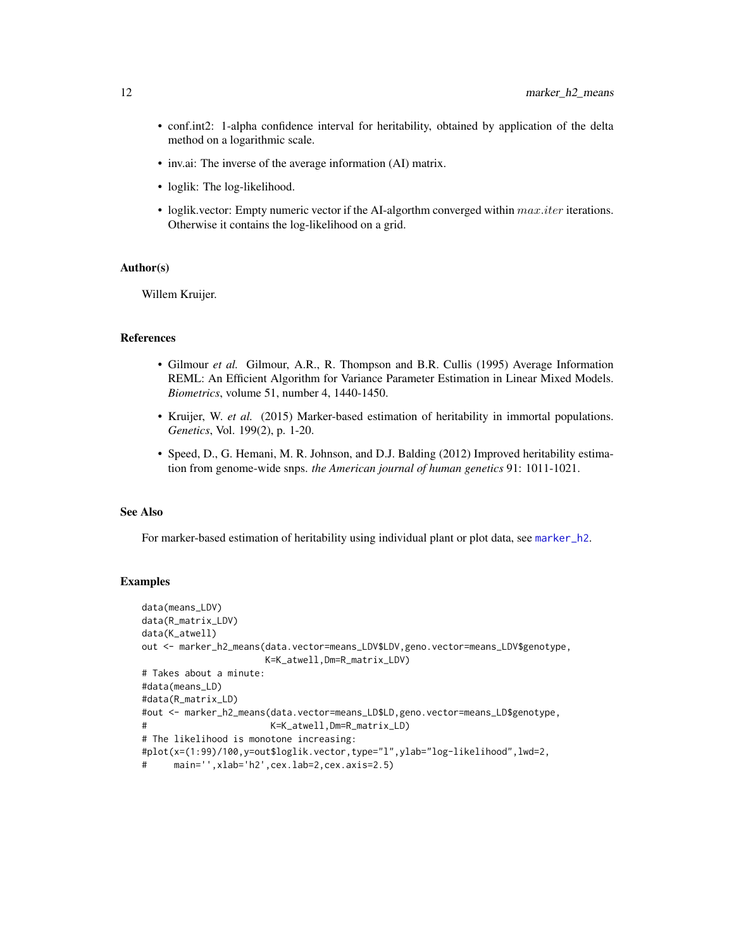- <span id="page-11-0"></span>• conf.int2: 1-alpha confidence interval for heritability, obtained by application of the delta method on a logarithmic scale.
- inv.ai: The inverse of the average information (AI) matrix.
- loglik: The log-likelihood.
- loglik.vector: Empty numeric vector if the AI-algorthm converged within  $max.iter$  iterations. Otherwise it contains the log-likelihood on a grid.

#### Author(s)

Willem Kruijer.

#### References

- Gilmour *et al.* Gilmour, A.R., R. Thompson and B.R. Cullis (1995) Average Information REML: An Efficient Algorithm for Variance Parameter Estimation in Linear Mixed Models. *Biometrics*, volume 51, number 4, 1440-1450.
- Kruijer, W. *et al.* (2015) Marker-based estimation of heritability in immortal populations. *Genetics*, Vol. 199(2), p. 1-20.
- Speed, D., G. Hemani, M. R. Johnson, and D.J. Balding (2012) Improved heritability estimation from genome-wide snps. *the American journal of human genetics* 91: 1011-1021.

#### See Also

For marker-based estimation of heritability using individual plant or plot data, see [marker\\_h2](#page-7-1).

```
data(means_LDV)
data(R_matrix_LDV)
data(K_atwell)
out <- marker_h2_means(data.vector=means_LDV$LDV,geno.vector=means_LDV$genotype,
                      K=K_atwell,Dm=R_matrix_LDV)
# Takes about a minute:
#data(means_LD)
#data(R_matrix_LD)
#out <- marker_h2_means(data.vector=means_LD$LD,geno.vector=means_LD$genotype,
                       K=K_atwell,Dm=R_matrix_LD)
# The likelihood is monotone increasing:
#plot(x=(1:99)/100,y=out$loglik.vector,type="l",ylab="log-likelihood",lwd=2,
# main='',xlab='h2',cex.lab=2,cex.axis=2.5)
```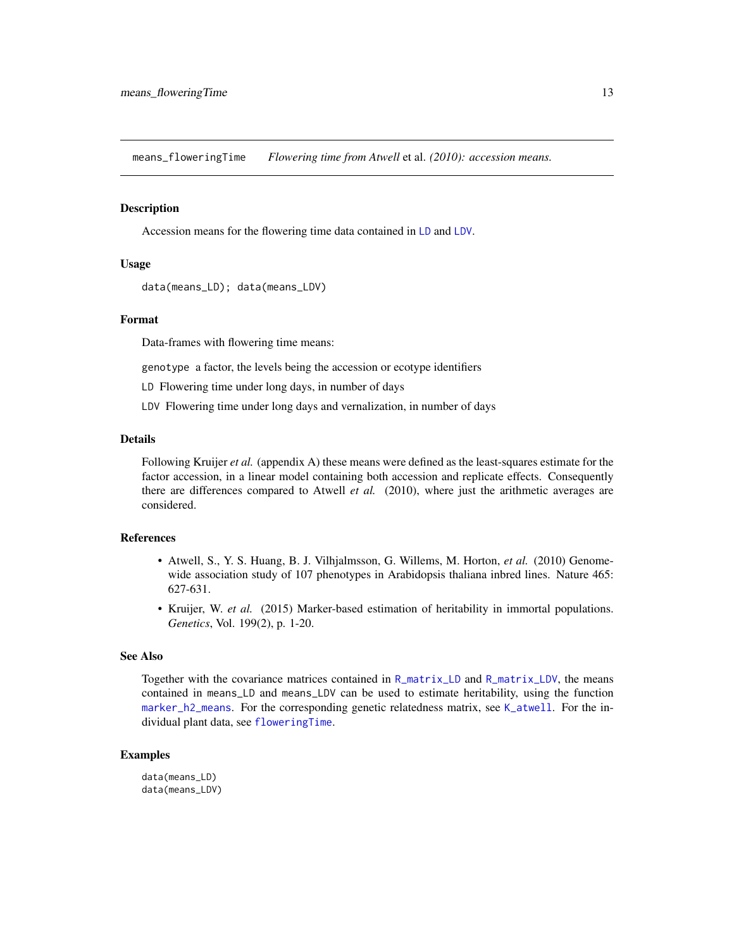<span id="page-12-0"></span>means\_floweringTime *Flowering time from Atwell* et al. *(2010): accession means.*

#### <span id="page-12-1"></span>Description

Accession means for the flowering time data contained in [LD](#page-3-1) and [LDV](#page-3-1).

#### Usage

```
data(means_LD); data(means_LDV)
```
#### Format

Data-frames with flowering time means:

genotype a factor, the levels being the accession or ecotype identifiers

LD Flowering time under long days, in number of days

LDV Flowering time under long days and vernalization, in number of days

#### Details

Following Kruijer *et al.* (appendix A) these means were defined as the least-squares estimate for the factor accession, in a linear model containing both accession and replicate effects. Consequently there are differences compared to Atwell *et al.* (2010), where just the arithmetic averages are considered.

#### References

- Atwell, S., Y. S. Huang, B. J. Vilhjalmsson, G. Willems, M. Horton, *et al.* (2010) Genomewide association study of 107 phenotypes in Arabidopsis thaliana inbred lines. Nature 465: 627-631.
- Kruijer, W. *et al.* (2015) Marker-based estimation of heritability in immortal populations. *Genetics*, Vol. 199(2), p. 1-20.

#### See Also

Together with the covariance matrices contained in [R\\_matrix\\_LD](#page-14-1) and [R\\_matrix\\_LDV](#page-14-1), the means contained in means\_LD and means\_LDV can be used to estimate heritability, using the function [marker\\_h2\\_means](#page-9-1). For the corresponding genetic relatedness matrix, see [K\\_atwell](#page-4-1). For the individual plant data, see [floweringTime](#page-3-2).

```
data(means_LD)
data(means_LDV)
```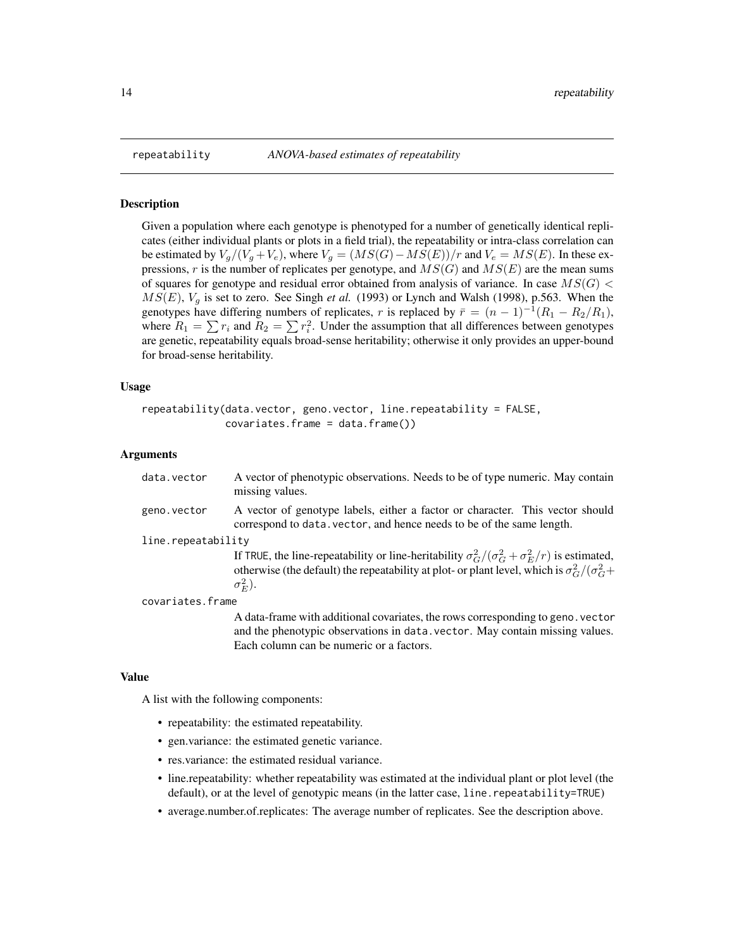<span id="page-13-0"></span>

#### **Description**

Given a population where each genotype is phenotyped for a number of genetically identical replicates (either individual plants or plots in a field trial), the repeatability or intra-class correlation can be estimated by  $V_g/(V_g+V_e)$ , where  $V_g = (MS(G)-MS(E))/r$  and  $V_e = MS(E)$ . In these expressions, r is the number of replicates per genotype, and  $MS(G)$  and  $MS(E)$  are the mean sums of squares for genotype and residual error obtained from analysis of variance. In case  $MS(G)$  $MS(E)$ ,  $V_g$  is set to zero. See Singh *et al.* (1993) or Lynch and Walsh (1998), p.563. When the genotypes have differing numbers of replicates, r is replaced by  $\bar{r} = (n-1)^{-1}(R_1 - R_2/R_1)$ , where  $R_1 = \sum r_i$  and  $R_2 = \sum r_i^2$ . Under the assumption that all differences between genotypes are genetic, repeatability equals broad-sense heritability; otherwise it only provides an upper-bound for broad-sense heritability.

#### Usage

```
repeatability(data.vector, geno.vector, line.repeatability = FALSE,
              covariates. frame = data. frame()
```
Each column can be numeric or a factors.

#### Arguments

| data.vector        | A vector of phenotypic observations. Needs to be of type numeric. May contain<br>missing values.                                                                                                                                         |
|--------------------|------------------------------------------------------------------------------------------------------------------------------------------------------------------------------------------------------------------------------------------|
| geno.vector        | A vector of genotype labels, either a factor or character. This vector should<br>correspond to data. vector, and hence needs to be of the same length.                                                                                   |
| line.repeatability |                                                                                                                                                                                                                                          |
|                    | If TRUE, the line-repeatability or line-heritability $\sigma_G^2/(\sigma_G^2 + \sigma_E^2/r)$ is estimated,<br>otherwise (the default) the repeatability at plot- or plant level, which is $\sigma_G^2/(\sigma_G^2 +$<br>$\sigma_E^2$ ). |
| covariates.frame   |                                                                                                                                                                                                                                          |
|                    | A data-frame with additional covariates, the rows corresponding to geno. vector<br>and the phenotypic observations in data. vector. May contain missing values.                                                                          |

#### Value

A list with the following components:

- repeatability: the estimated repeatability.
- gen.variance: the estimated genetic variance.
- res.variance: the estimated residual variance.
- line.repeatability: whether repeatability was estimated at the individual plant or plot level (the default), or at the level of genotypic means (in the latter case, line.repeatability=TRUE)
- average.number.of.replicates: The average number of replicates. See the description above.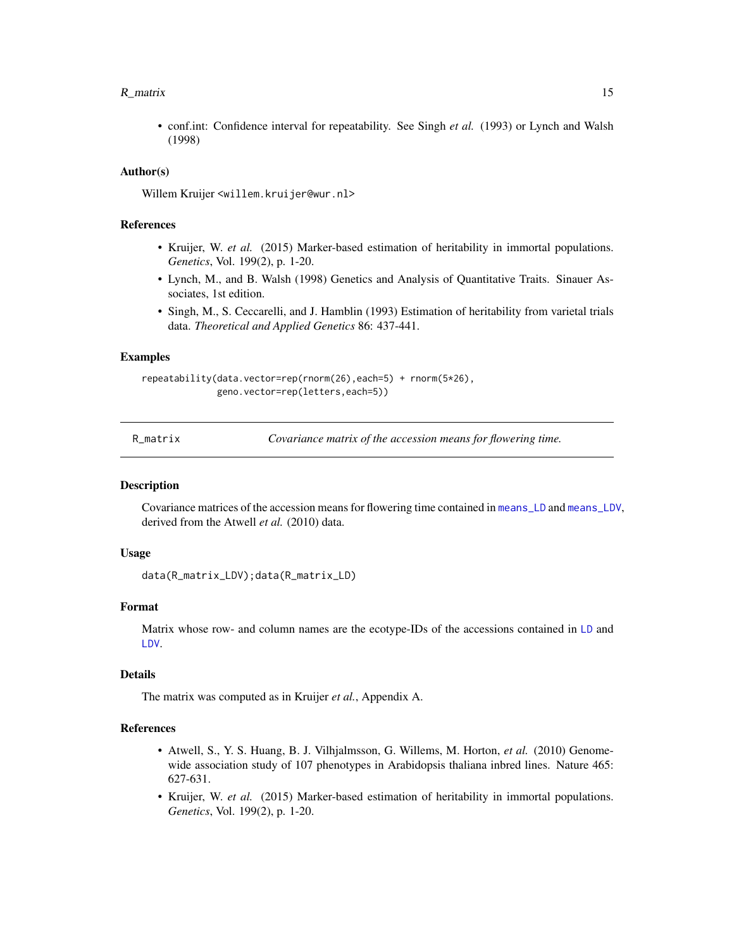#### <span id="page-14-0"></span> $R$ <sub>matrix</sub> 15

• conf.int: Confidence interval for repeatability. See Singh *et al.* (1993) or Lynch and Walsh (1998)

#### Author(s)

Willem Kruijer <willem.kruijer@wur.nl>

#### References

- Kruijer, W. *et al.* (2015) Marker-based estimation of heritability in immortal populations. *Genetics*, Vol. 199(2), p. 1-20.
- Lynch, M., and B. Walsh (1998) Genetics and Analysis of Quantitative Traits. Sinauer Associates, 1st edition.
- Singh, M., S. Ceccarelli, and J. Hamblin (1993) Estimation of heritability from varietal trials data. *Theoretical and Applied Genetics* 86: 437-441.

#### Examples

```
repeatability(data.vector=rep(rnorm(26),each=5) + rnorm(5*26),
              geno.vector=rep(letters,each=5))
```

| R matrix |  |  |
|----------|--|--|
|          |  |  |

Covariance matrix of the accession means for flowering time.

#### <span id="page-14-1"></span>Description

Covariance matrices of the accession means for flowering time contained in [means\\_LD](#page-12-1) and [means\\_LDV](#page-12-1), derived from the Atwell *et al.* (2010) data.

#### Usage

```
data(R_matrix_LDV);data(R_matrix_LD)
```
#### Format

Matrix whose row- and column names are the ecotype-IDs of the accessions contained in [LD](#page-3-1) and [LDV](#page-3-1).

#### Details

The matrix was computed as in Kruijer *et al.*, Appendix A.

- Atwell, S., Y. S. Huang, B. J. Vilhjalmsson, G. Willems, M. Horton, *et al.* (2010) Genomewide association study of 107 phenotypes in Arabidopsis thaliana inbred lines. Nature 465: 627-631.
- Kruijer, W. *et al.* (2015) Marker-based estimation of heritability in immortal populations. *Genetics*, Vol. 199(2), p. 1-20.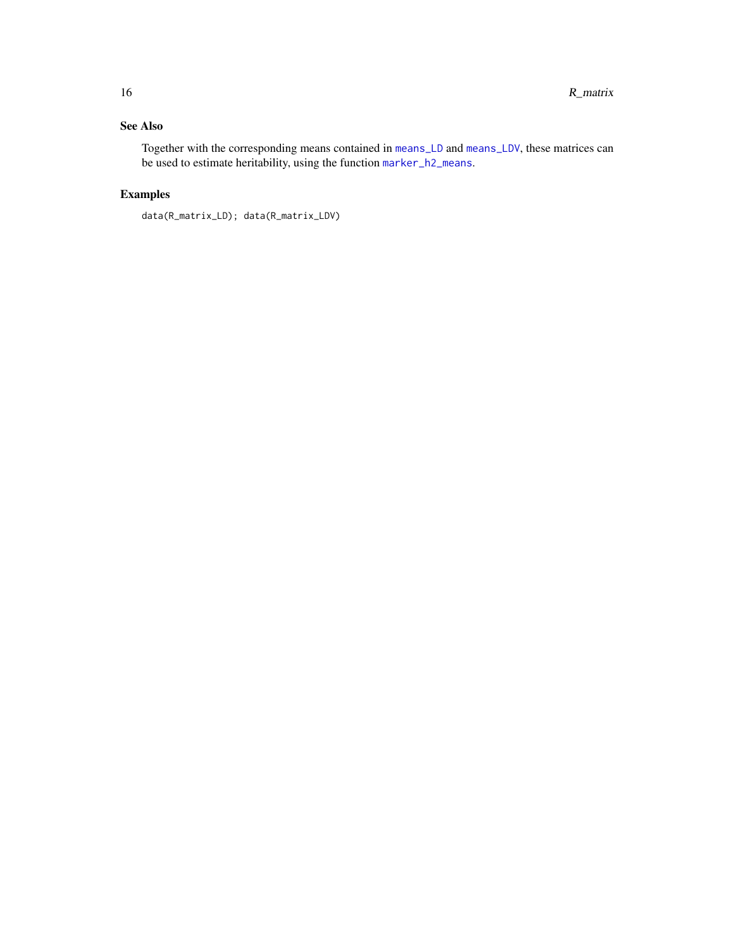<span id="page-15-0"></span>Together with the corresponding means contained in [means\\_LD](#page-12-1) and [means\\_LDV](#page-12-1), these matrices can be used to estimate heritability, using the function [marker\\_h2\\_means](#page-9-1).

```
data(R_matrix_LD); data(R_matrix_LDV)
```